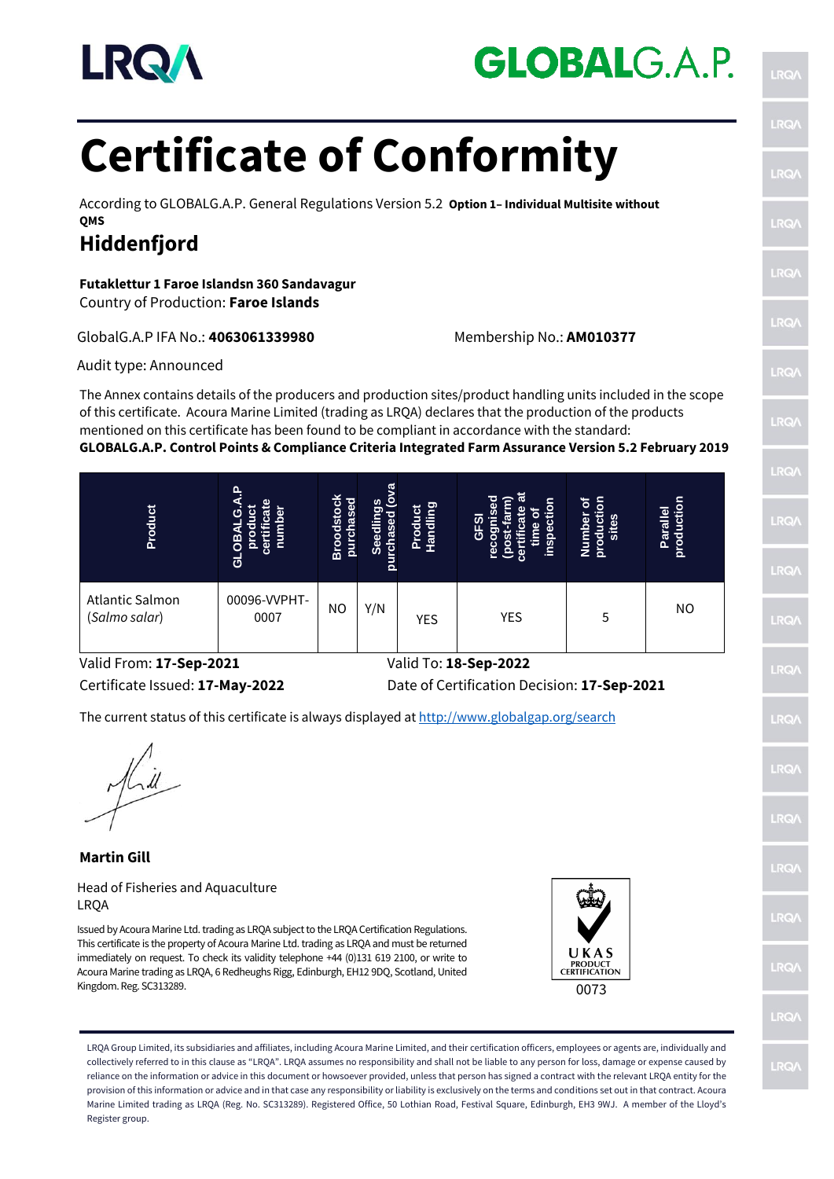

# **GLOBALG.A.P.**

# **Certificate of Conformity**

According to GLOBALG.A.P. General Regulations Version 5.2 **Option 1– Individual Multisite without QMS**

## **Hiddenfjord**

**Futaklettur 1 Faroe Islandsn 360 Sandavagur** Country of Production: **Faroe Islands**

#### GlobalG.A.P IFA No.: **4063061339980** Membership No.: **AM010377**

Audit type: Announced

The Annex contains details of the producers and production sites/product handling units included in the scope of this certificate. Acoura Marine Limited (trading as LRQA) declares that the production of the products mentioned on this certificate has been found to be compliant in accordance with the standard:

#### **GLOBALG.A.P. Control Points & Compliance Criteria Integrated Farm Assurance Version 5.2 February 2019**

| <b>Product</b>                   | $\mathbf{a}$<br>т<br>O<br>ō<br>ಕ | <b>Broodstock</b><br>purchased | ᢐ<br>Seedlings<br><b>rchased</b> (ov<br>purchased | <b>Handling</b><br>Product | 등<br>е<br>မ္မ<br>Ŏ<br>υ<br>ທ<br>으.<br>ō | Number of<br>production<br>sites | Parallel<br>producti |
|----------------------------------|----------------------------------|--------------------------------|---------------------------------------------------|----------------------------|-----------------------------------------|----------------------------------|----------------------|
| Atlantic Salmon<br>(Salmo salar) | 00096-VVPHT-<br>0007             | ΝO                             | Y/N                                               | <b>YES</b>                 | <b>YES</b>                              | 5                                | NO                   |

Valid From: **17-Sep-2021** Valid To: **18-Sep-2022**

Certificate Issued: **17-May-2022** Date of Certification Decision: **17-Sep-2021**

The current status of this certificate is always displayed at <http://www.globalgap.org/search>

**Martin Gill** Head of Fisheries and Aquaculture LRQA

Issued by Acoura Marine Ltd. trading as LRQA subject to the LRQA Certification Regulations. This certificate is the property of Acoura Marine Ltd. trading as LRQA and must be returned immediately on request. To check its validity telephone +44 (0)131 619 2100, or write to Acoura Marine trading as LRQA, 6 Redheughs Rigg, Edinburgh, EH12 9DQ, Scotland, United Kingdom. Reg. SC313289.



LRQA Group Limited, its subsidiaries and affiliates, including Acoura Marine Limited, and their certification officers, employees or agents are, individually and collectively referred to in this clause as "LRQA". LRQA assumes no responsibility and shall not be liable to any person for loss, damage or expense caused by reliance on the information or advice in this document or howsoever provided, unless that person has signed a contract with the relevant LRQA entity for the provision of this information or advice and in that case any responsibility or liability is exclusively on the terms and conditions set out in that contract. Acoura Marine Limited trading as LRQA (Reg. No. SC313289). Registered Office, 50 Lothian Road, Festival Square, Edinburgh, EH3 9WJ. A member of the Lloyd's Register group.

**LRO RO IRQ LRQ**  $RO$ **LRQ LRQ LRG IRQ DO LRQ IRQ**  $R<sub>0</sub>$ **LRQ** LRQ<sub></sub> **RO** LRQ **LRQ**